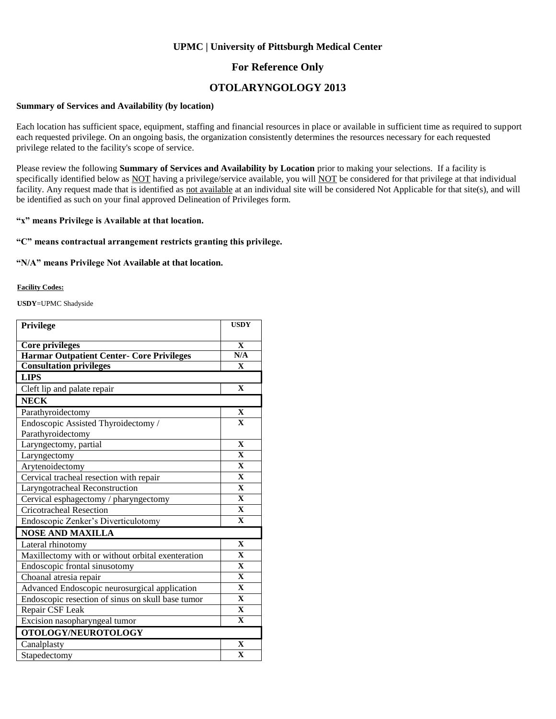### **UPMC | University of Pittsburgh Medical Center**

### **For Reference Only**

## **OTOLARYNGOLOGY 2013**

#### **Summary of Services and Availability (by location)**

Each location has sufficient space, equipment, staffing and financial resources in place or available in sufficient time as required to support each requested privilege. On an ongoing basis, the organization consistently determines the resources necessary for each requested privilege related to the facility's scope of service.

Please review the following **Summary of Services and Availability by Location** prior to making your selections. If a facility is specifically identified below as NOT having a privilege/service available, you will NOT be considered for that privilege at that individual facility. Any request made that is identified as not available at an individual site will be considered Not Applicable for that site(s), and will be identified as such on your final approved Delineation of Privileges form.

### **"x" means Privilege is Available at that location.**

#### **"C" means contractual arrangement restricts granting this privilege.**

#### **"N/A" means Privilege Not Available at that location.**

#### **Facility Codes:**

**USDY**=UPMC Shadyside

| Privilege                                                                  | <b>USDY</b>             |
|----------------------------------------------------------------------------|-------------------------|
|                                                                            | $\mathbf{x}$            |
| <b>Core privileges</b><br><b>Harmar Outpatient Center- Core Privileges</b> | N/A                     |
| <b>Consultation privileges</b>                                             | $\mathbf{X}$            |
| <b>LIPS</b>                                                                |                         |
| Cleft lip and palate repair                                                | $\mathbf{X}$            |
| <b>NECK</b>                                                                |                         |
| Parathyroidectomy                                                          | $\mathbf X$             |
| Endoscopic Assisted Thyroidectomy /                                        | $\mathbf{X}$            |
| Parathyroidectomy                                                          |                         |
| Laryngectomy, partial                                                      | $\mathbf{X}$            |
| Laryngectomy                                                               | $\overline{\mathbf{X}}$ |
| Arytenoidectomy                                                            | $\mathbf X$             |
| Cervical tracheal resection with repair                                    | $\mathbf X$             |
| Laryngotracheal Reconstruction                                             | $\mathbf{X}$            |
| Cervical esphagectomy / pharyngectomy                                      | $\mathbf{X}$            |
| <b>Cricotracheal Resection</b>                                             | $\mathbf{X}$            |
| Endoscopic Zenker's Diverticulotomy                                        | $\mathbf{X}$            |
| <b>NOSE AND MAXILLA</b>                                                    |                         |
| Lateral rhinotomy                                                          | $\mathbf{x}$            |
| Maxillectomy with or without orbital exenteration                          | $\overline{\mathbf{X}}$ |
| Endoscopic frontal sinusotomy                                              | $\mathbf{X}$            |
| Choanal atresia repair                                                     | $\mathbf{X}$            |
| Advanced Endoscopic neurosurgical application                              | $\mathbf{x}$            |
| Endoscopic resection of sinus on skull base tumor                          | $\mathbf{X}$            |
| Repair CSF Leak                                                            | $\mathbf{X}$            |
| Excision nasopharyngeal tumor                                              | $\mathbf{X}$            |
| OTOLOGY/NEUROTOLOGY                                                        |                         |
| Canalplasty                                                                | $\overline{\mathbf{X}}$ |
| Stapedectomy                                                               | $\mathbf X$             |